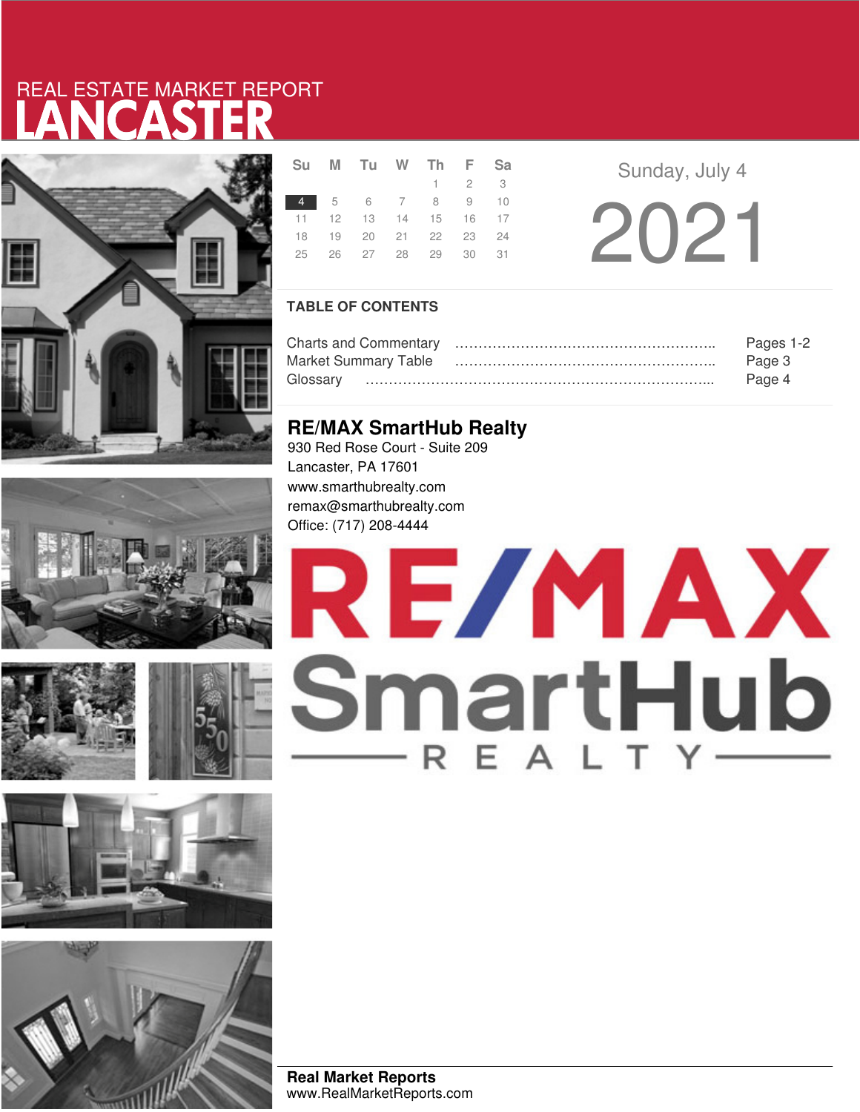# LANCASTER REAL ESTATE MARKET REPORT













|                | Su M Tu W Th F Sa          |  |                     |  |
|----------------|----------------------------|--|---------------------|--|
|                |                            |  | $1 \quad 2 \quad 3$ |  |
| 4 5 6 7 8 9 10 |                            |  |                     |  |
|                | 11  12  13  14  15  16  17 |  |                     |  |
|                | 18  19  20  21  22  23  24 |  |                     |  |
|                | 25  26  27  28  29  30  31 |  |                     |  |
|                |                            |  |                     |  |

**Sunday, July 4** 2021

## **TABLE OF CONTENTS**

|                             | Pages 1-2 |
|-----------------------------|-----------|
| <b>Market Summary Table</b> | Page 3    |
|                             | Page 4    |

# **RE/MAX SmartHub Realty**

930 Red Rose Court - Suite 209 Lancaster, PA 17601 www.smarthubrealty.com remax@smarthubrealty.com Office: (717) 208-4444

# RE/MAX SmartHub

**Real Market Reports** www.RealMarketReports.com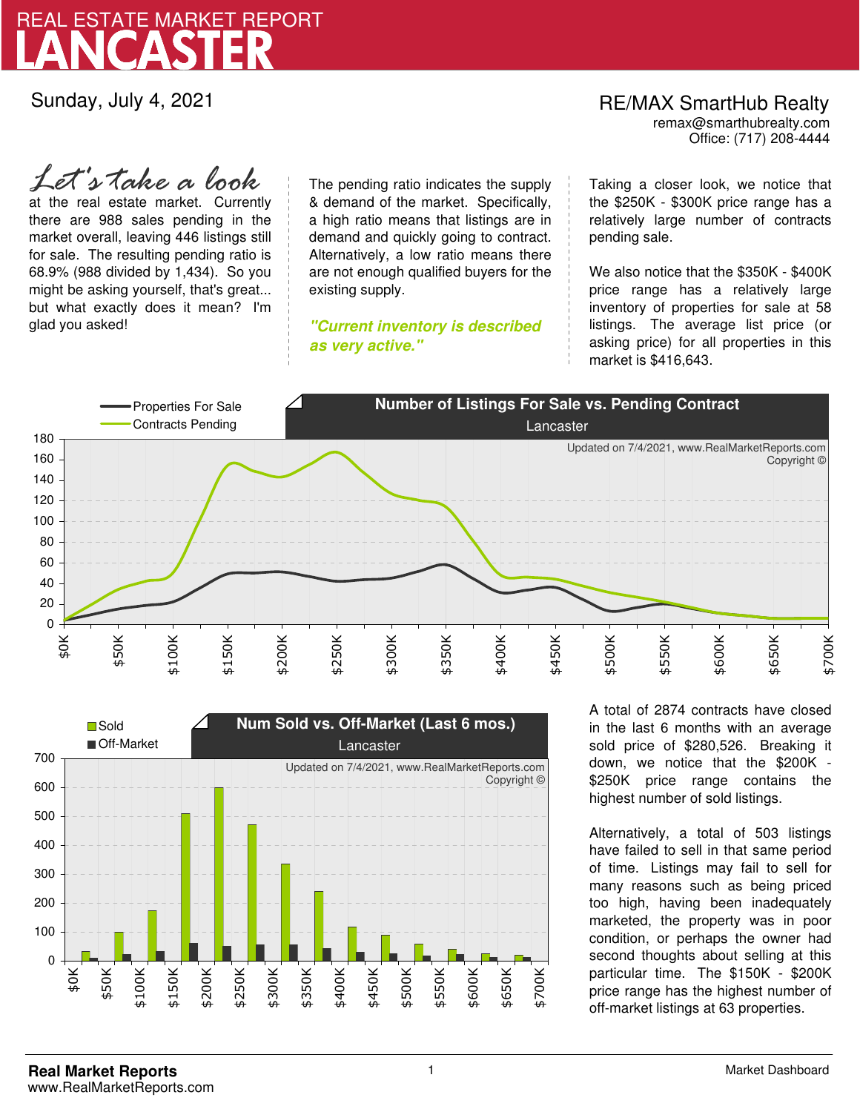

Sunday, July 4, 2021

*Let's take a look*

at the real estate market. Currently there are 988 sales pending in the market overall, leaving 446 listings still for sale. The resulting pending ratio is 68.9% (988 divided by 1,434). So you might be asking yourself, that's great... but what exactly does it mean? I'm glad you asked!

The pending ratio indicates the supply & demand of the market. Specifically, a high ratio means that listings are in demand and quickly going to contract. Alternatively, a low ratio means there are not enough qualified buyers for the existing supply.

**"Current inventory is described as very active."**

Office: (717) 208-4444 RE/MAX SmartHub Realty remax@smarthubrealty.com

Taking a closer look, we notice that the \$250K - \$300K price range has a relatively large number of contracts pending sale.

We also notice that the \$350K - \$400K price range has a relatively large inventory of properties for sale at 58 listings. The average list price (or asking price) for all properties in this market is \$416,643.





A total of 2874 contracts have closed in the last 6 months with an average sold price of \$280,526. Breaking it down, we notice that the \$200K - \$250K price range contains the highest number of sold listings.

Alternatively, a total of 503 listings have failed to sell in that same period of time. Listings may fail to sell for many reasons such as being priced too high, having been inadequately marketed, the property was in poor condition, or perhaps the owner had second thoughts about selling at this particular time. The \$150K - \$200K price range has the highest number of off-market listings at 63 properties.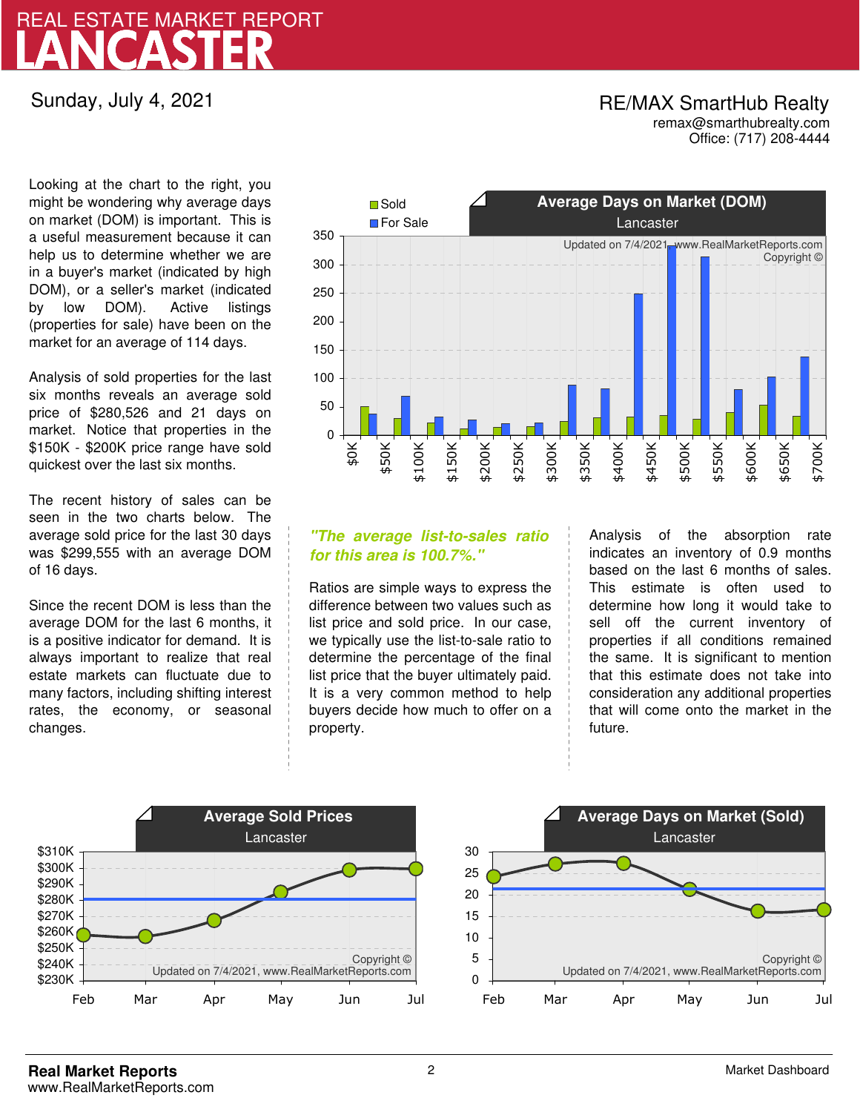# LANCASTER REAL ESTATE MARKET REPORT

Sunday, July 4, 2021

# RE/MAX SmartHub Realty remax@smarthubrealty.com

Office: (717) 208-4444

Looking at the chart to the right, you might be wondering why average days on market (DOM) is important. This is a useful measurement because it can help us to determine whether we are in a buyer's market (indicated by high DOM), or a seller's market (indicated by low DOM). Active listings (properties for sale) have been on the market for an average of 114 days.

Analysis of sold properties for the last six months reveals an average sold price of \$280,526 and 21 days on market. Notice that properties in the \$150K - \$200K price range have sold quickest over the last six months.

The recent history of sales can be seen in the two charts below. The average sold price for the last 30 days was \$299,555 with an average DOM of 16 days.

Since the recent DOM is less than the average DOM for the last 6 months, it is a positive indicator for demand. It is always important to realize that real estate markets can fluctuate due to many factors, including shifting interest rates, the economy, or seasonal changes.



## **"The average list-to-sales ratio for this area is 100.7%."**

Ratios are simple ways to express the difference between two values such as list price and sold price. In our case, we typically use the list-to-sale ratio to determine the percentage of the final list price that the buyer ultimately paid. It is a very common method to help buyers decide how much to offer on a property.

Analysis of the absorption rate indicates an inventory of 0.9 months based on the last 6 months of sales. This estimate is often used to determine how long it would take to sell off the current inventory of properties if all conditions remained the same. It is significant to mention that this estimate does not take into consideration any additional properties that will come onto the market in the future.



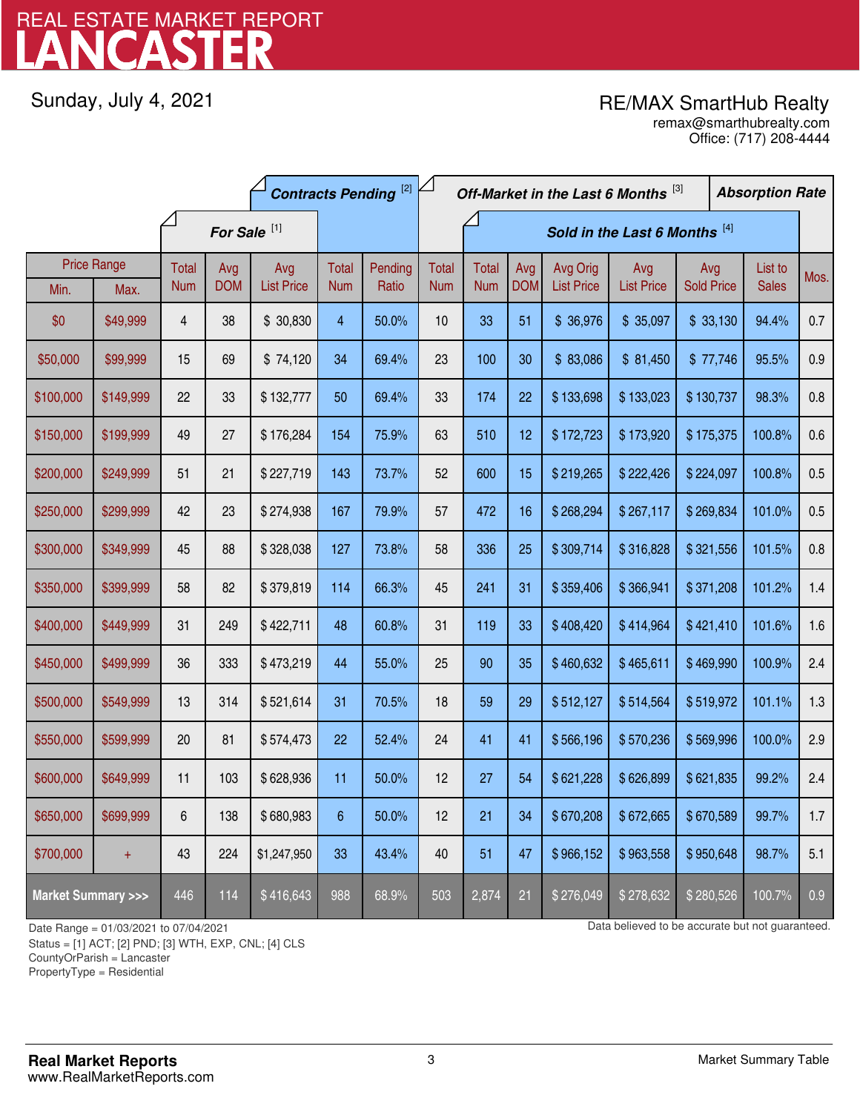# LANCASTER REAL ESTATE MARKET REPORT

Sunday, July 4, 2021

# RE/MAX SmartHub Realty

Office: (717) 208-4444 remax@smarthubrealty.com

|                                    |                    | <b>Contracts Pending [2]</b> |            |                   |                |                               | Off-Market in the Last 6 Months [3] |              |            |                   |                   | <b>Absorption Rate</b> |  |              |      |
|------------------------------------|--------------------|------------------------------|------------|-------------------|----------------|-------------------------------|-------------------------------------|--------------|------------|-------------------|-------------------|------------------------|--|--------------|------|
|                                    |                    | For Sale <sup>[1]</sup>      |            |                   |                | Sold in the Last 6 Months [4] |                                     |              |            |                   |                   |                        |  |              |      |
|                                    | <b>Price Range</b> | Total                        | Avg        | Avg               | Total          | Pending                       | <b>Total</b>                        | <b>Total</b> | Avg        | Avg Orig          | Avg               | Avg                    |  | List to      | Mos. |
| Min.                               | Max.               | <b>Num</b>                   | <b>DOM</b> | <b>List Price</b> | <b>Num</b>     | Ratio                         | <b>Num</b>                          | <b>Num</b>   | <b>DOM</b> | <b>List Price</b> | <b>List Price</b> | <b>Sold Price</b>      |  | <b>Sales</b> |      |
| \$0                                | \$49,999           | 4                            | 38         | \$30,830          | 4              | 50.0%                         | 10                                  | 33           | 51         | \$36,976          | \$35,097          | \$33,130               |  | 94.4%        | 0.7  |
| \$50,000                           | \$99,999           | 15                           | 69         | \$74,120          | 34             | 69.4%                         | 23                                  | 100          | 30         | \$83,086          | \$81,450          | \$77,746               |  | 95.5%        | 0.9  |
| \$100,000                          | \$149,999          | 22                           | 33         | \$132,777         | 50             | 69.4%                         | 33                                  | 174          | 22         | \$133,698         | \$133,023         | \$130,737              |  | 98.3%        | 0.8  |
| \$150,000                          | \$199,999          | 49                           | 27         | \$176,284         | 154            | 75.9%                         | 63                                  | 510          | 12         | \$172,723         | \$173,920         | \$175,375              |  | 100.8%       | 0.6  |
| \$200,000                          | \$249,999          | 51                           | 21         | \$227,719         | 143            | 73.7%                         | 52                                  | 600          | 15         | \$219,265         | \$222,426         | \$224,097              |  | 100.8%       | 0.5  |
| \$250,000                          | \$299,999          | 42                           | 23         | \$274,938         | 167            | 79.9%                         | 57                                  | 472          | 16         | \$268,294         | \$267,117         | \$269,834              |  | 101.0%       | 0.5  |
| \$300,000                          | \$349,999          | 45                           | 88         | \$328,038         | 127            | 73.8%                         | 58                                  | 336          | 25         | \$309,714         | \$316,828         | \$321,556              |  | 101.5%       | 0.8  |
| \$350,000                          | \$399,999          | 58                           | 82         | \$379,819         | 114            | 66.3%                         | 45                                  | 241          | 31         | \$359,406         | \$366,941         | \$371,208              |  | 101.2%       | 1.4  |
| \$400,000                          | \$449,999          | 31                           | 249        | \$422,711         | 48             | 60.8%                         | 31                                  | 119          | 33         | \$408,420         | \$414,964         | \$421,410              |  | 101.6%       | 1.6  |
| \$450,000                          | \$499,999          | 36                           | 333        | \$473,219         | 44             | 55.0%                         | 25                                  | 90           | 35         | \$460,632         | \$465,611         | \$469,990              |  | 100.9%       | 2.4  |
| \$500,000                          | \$549,999          | 13                           | 314        | \$521,614         | 31             | 70.5%                         | 18                                  | 59           | 29         | \$512,127         | \$514,564         | \$519,972              |  | 101.1%       | 1.3  |
| \$550,000                          | \$599,999          | 20                           | 81         | \$574,473         | 22             | 52.4%                         | 24                                  | 41           | 41         | \$566,196         | \$570,236         | \$569,996              |  | 100.0%       | 2.9  |
| \$600,000                          | \$649,999          | 11                           | 103        | \$628,936         | 11             | 50.0%                         | 12                                  | 27           | 54         | \$621,228         | \$626,899         | \$621,835              |  | 99.2%        | 2.4  |
| \$650,000                          | \$699,999          | 6                            | 138        | \$680,983         | $6\phantom{.}$ | 50.0%                         | 12                                  | 21           | 34         | \$670,208         | \$672,665         | \$670,589              |  | 99.7%        | 1.7  |
| \$700,000                          | $+$                | 43                           | 224        | \$1,247,950       | 33             | 43.4%                         | 40                                  | 51           | 47         | \$966,152         | \$963,558         | \$950,648              |  | 98.7%        | 5.1  |
| <b>Market Summary &gt;&gt;&gt;</b> |                    | 446                          | 114        | \$416,643         | 988            | 68.9%                         | 503                                 | 2,874        | 21         | \$276,049         | \$278,632         | \$280,526              |  | 100.7%       | 0.9  |

Status = [1] ACT; [2] PND; [3] WTH, EXP, CNL; [4] CLS

CountyOrParish = Lancaster

PropertyType = Residential

1

Date Range = 01/03/2021 to 07/04/2021 Data believed to be accurate but not guaranteed.